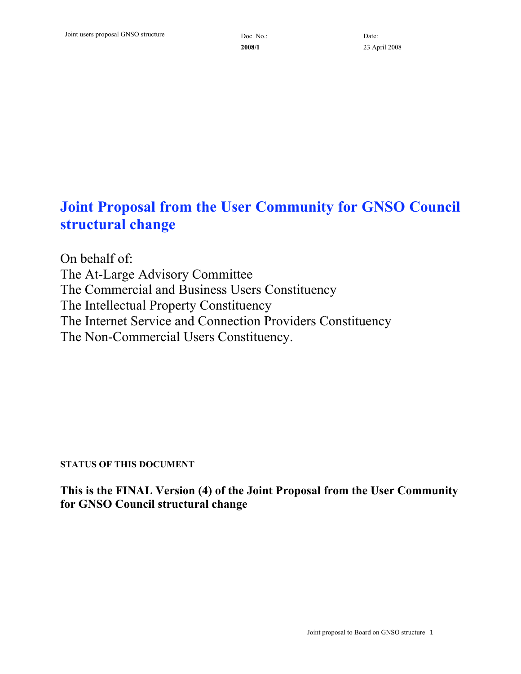**2008/1**

# **Joint Proposal from the User Community for GNSO Council structural change**

On behalf of: The At-Large Advisory Committee The Commercial and Business Users Constituency The Intellectual Property Constituency The Internet Service and Connection Providers Constituency The Non-Commercial Users Constituency.

### **STATUS OF THIS DOCUMENT**

**This is the FINAL Version (4) of the Joint Proposal from the User Community for GNSO Council structural change**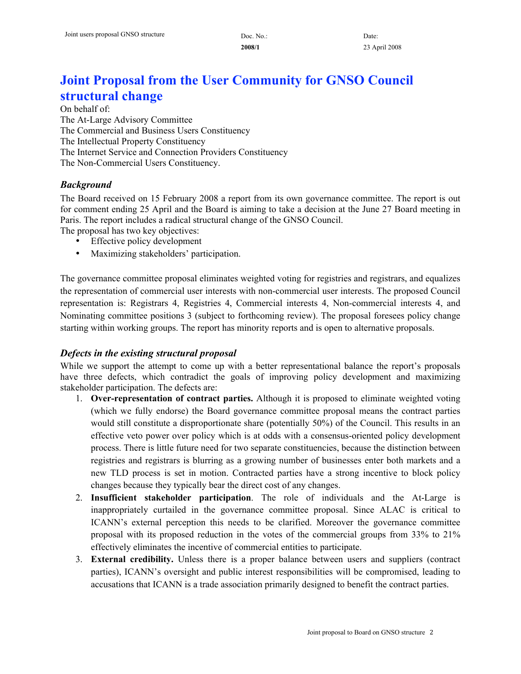# **Joint Proposal from the User Community for GNSO Council structural change**

On behalf of: The At-Large Advisory Committee The Commercial and Business Users Constituency The Intellectual Property Constituency The Internet Service and Connection Providers Constituency The Non-Commercial Users Constituency.

### *Background*

The Board received on 15 February 2008 a report from its own governance committee. The report is out for comment ending 25 April and the Board is aiming to take a decision at the June 27 Board meeting in Paris. The report includes a radical structural change of the GNSO Council. The proposal has two key objectives:

- Effective policy development
- Maximizing stakeholders' participation.

The governance committee proposal eliminates weighted voting for registries and registrars, and equalizes the representation of commercial user interests with non-commercial user interests. The proposed Council representation is: Registrars 4, Registries 4, Commercial interests 4, Non-commercial interests 4, and Nominating committee positions 3 (subject to forthcoming review). The proposal foresees policy change starting within working groups. The report has minority reports and is open to alternative proposals.

### *Defects in the existing structural proposal*

While we support the attempt to come up with a better representational balance the report's proposals have three defects, which contradict the goals of improving policy development and maximizing stakeholder participation. The defects are:

- 1. **Over-representation of contract parties.** Although it is proposed to eliminate weighted voting (which we fully endorse) the Board governance committee proposal means the contract parties would still constitute a disproportionate share (potentially 50%) of the Council. This results in an effective veto power over policy which is at odds with a consensus-oriented policy development process. There is little future need for two separate constituencies, because the distinction between registries and registrars is blurring as a growing number of businesses enter both markets and a new TLD process is set in motion. Contracted parties have a strong incentive to block policy changes because they typically bear the direct cost of any changes.
- 2. **Insufficient stakeholder participation**. The role of individuals and the At-Large is inappropriately curtailed in the governance committee proposal. Since ALAC is critical to ICANN's external perception this needs to be clarified. Moreover the governance committee proposal with its proposed reduction in the votes of the commercial groups from 33% to 21% effectively eliminates the incentive of commercial entities to participate.
- 3. **External credibility.** Unless there is a proper balance between users and suppliers (contract parties), ICANN's oversight and public interest responsibilities will be compromised, leading to accusations that ICANN is a trade association primarily designed to benefit the contract parties.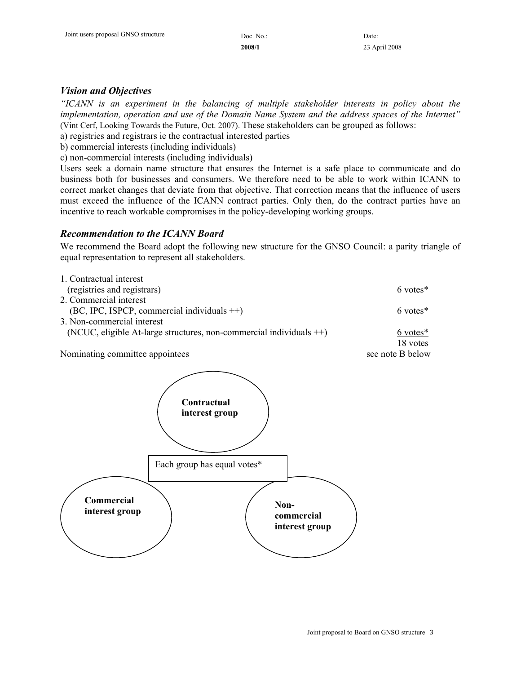**2008/1**

### *Vision and Objectives*

*"ICANN is an experiment in the balancing of multiple stakeholder interests in policy about the implementation, operation and use of the Domain Name System and the address spaces of the Internet"* (Vint Cerf, Looking Towards the Future, Oct. 2007). These stakeholders can be grouped as follows:

a) registries and registrars ie the contractual interested parties

b) commercial interests (including individuals)

c) non-commercial interests (including individuals)

Users seek a domain name structure that ensures the Internet is a safe place to communicate and do business both for businesses and consumers. We therefore need to be able to work within ICANN to correct market changes that deviate from that objective. That correction means that the influence of users must exceed the influence of the ICANN contract parties. Only then, do the contract parties have an incentive to reach workable compromises in the policy-developing working groups.

#### *Recommendation to the ICANN Board*

We recommend the Board adopt the following new structure for the GNSO Council: a parity triangle of equal representation to represent all stakeholders.

| 1. Contractual interest                                                |                    |
|------------------------------------------------------------------------|--------------------|
| (registries and registrars)                                            | 6 votes*           |
| 2. Commercial interest                                                 |                    |
| $(BC, IPC, ISPCP, commercial individuals ++)$                          | 6 votes*           |
| 3. Non-commercial interest                                             |                    |
| (NCUC, eligible At-large structures, non-commercial individuals $++$ ) | $6 \text{ votes*}$ |
|                                                                        | 18 votes           |
| Nominating committee appointees                                        | see note B below   |

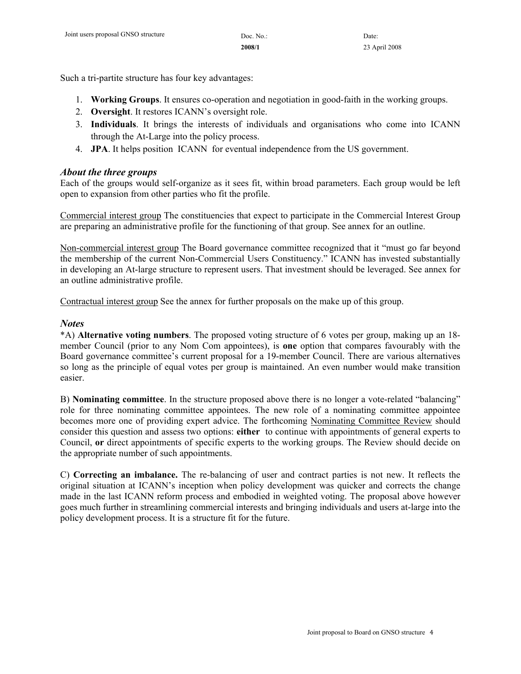Such a tri-partite structure has four key advantages:

- 1. **Working Groups**. It ensures co-operation and negotiation in good-faith in the working groups.
- 2. **Oversight**. It restores ICANN's oversight role.
- 3. **Individuals**. It brings the interests of individuals and organisations who come into ICANN through the At-Large into the policy process.
- 4. **JPA**. It helps position ICANN for eventual independence from the US government.

### *About the three groups*

Each of the groups would self-organize as it sees fit, within broad parameters. Each group would be left open to expansion from other parties who fit the profile.

Commercial interest group The constituencies that expect to participate in the Commercial Interest Group are preparing an administrative profile for the functioning of that group. See annex for an outline.

Non-commercial interest group The Board governance committee recognized that it "must go far beyond the membership of the current Non-Commercial Users Constituency." ICANN has invested substantially in developing an At-large structure to represent users. That investment should be leveraged. See annex for an outline administrative profile.

Contractual interest group See the annex for further proposals on the make up of this group.

### *Notes*

\*A) **Alternative voting numbers**. The proposed voting structure of 6 votes per group, making up an 18 member Council (prior to any Nom Com appointees), is **one** option that compares favourably with the Board governance committee's current proposal for a 19-member Council. There are various alternatives so long as the principle of equal votes per group is maintained. An even number would make transition easier.

B) **Nominating committee**. In the structure proposed above there is no longer a vote-related "balancing" role for three nominating committee appointees. The new role of a nominating committee appointee becomes more one of providing expert advice. The forthcoming Nominating Committee Review should consider this question and assess two options: **either** to continue with appointments of general experts to Council, **or** direct appointments of specific experts to the working groups. The Review should decide on the appropriate number of such appointments.

C) **Correcting an imbalance.** The re-balancing of user and contract parties is not new. It reflects the original situation at ICANN's inception when policy development was quicker and corrects the change made in the last ICANN reform process and embodied in weighted voting. The proposal above however goes much further in streamlining commercial interests and bringing individuals and users at-large into the policy development process. It is a structure fit for the future.